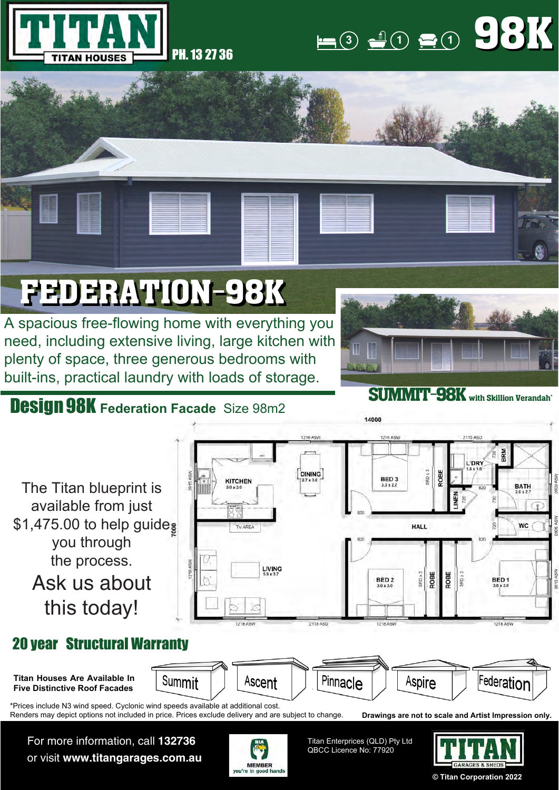



## FEDERATION-98K

A spacious free-flowing home with everything you need, including extensive living, large kitchen with plenty of space, three generous bedrooms with built-ins, practical laundry with loads of storage.

## Design 98K **Federation Facade** Size 98m2



SUMMIT-98K with Skillion Verandah\*



For more information, call **132736** or visit **www.titangarages.com.au**



Titan Enterprices (QLD) Pty Ltd QBCC Licence No: 77920



**© Titan Corporation 2022**